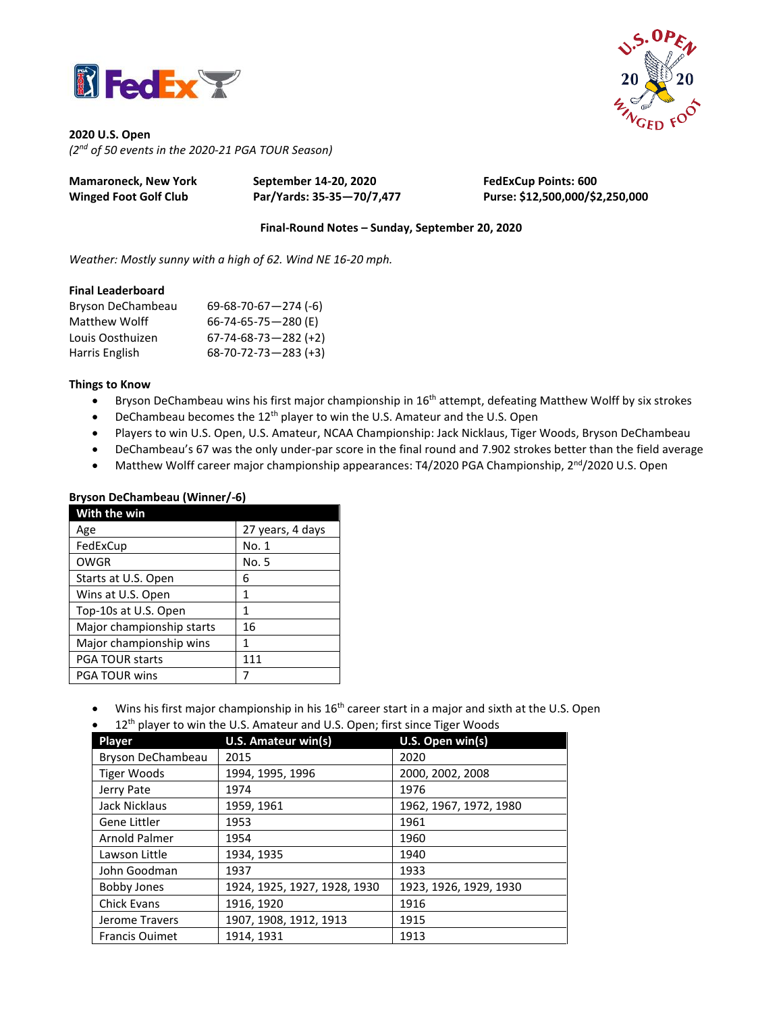



**2020 U.S. Open** *(2 nd of 50 events in the 2020-21 PGA TOUR Season)*

| <b>Mamaroneck, New York</b>  | September 14-20, 2020     | <b>FedExCup Points: 600</b>     |
|------------------------------|---------------------------|---------------------------------|
| <b>Winged Foot Golf Club</b> | Par/Yards: 35-35-70/7,477 | Purse: \$12,500,000/\$2,250,000 |

**Final-Round Notes – Sunday, September 20, 2020**

*Weather: Mostly sunny with a high of 62. Wind NE 16-20 mph.*

#### **Final Leaderboard**

| Bryson DeChambeau | $69-68-70-67-274$ (-6)         |
|-------------------|--------------------------------|
| Matthew Wolff     | 66-74-65-75-280 (E)            |
| Louis Oosthuizen  | $67 - 74 - 68 - 73 - 282$ (+2) |
| Harris English    | $68-70-72-73-283$ (+3)         |

### **Things to Know**

- Bryson DeChambeau wins his first major championship in 16<sup>th</sup> attempt, defeating Matthew Wolff by six strokes
- DeChambeau becomes the 12<sup>th</sup> player to win the U.S. Amateur and the U.S. Open
- Players to win U.S. Open, U.S. Amateur, NCAA Championship: Jack Nicklaus, Tiger Woods, Bryson DeChambeau
- DeChambeau's 67 was the only under-par score in the final round and 7.902 strokes better than the field average
- Matthew Wolff career major championship appearances: T4/2020 PGA Championship, 2<sup>nd</sup>/2020 U.S. Open

| With the win              |                  |  |  |
|---------------------------|------------------|--|--|
| Age                       | 27 years, 4 days |  |  |
| FedExCup                  | No. 1            |  |  |
| <b>OWGR</b>               | No. 5            |  |  |
| Starts at U.S. Open       | 6                |  |  |
| Wins at U.S. Open         | 1                |  |  |
| Top-10s at U.S. Open      | 1                |  |  |
| Major championship starts | 16               |  |  |
| Major championship wins   | 1                |  |  |
| <b>PGA TOUR starts</b>    | 111              |  |  |
| <b>PGA TOUR wins</b>      |                  |  |  |

### **Bryson DeChambeau (Winner/-6)**

- Wins his first major championship in his 16<sup>th</sup> career start in a major and sixth at the U.S. Open
- 12<sup>th</sup> player to win the U.S. Amateur and U.S. Open; first since Tiger Woods

| Player                | U.S. Amateur win(s)          | U.S. Open win(s)       |
|-----------------------|------------------------------|------------------------|
| Bryson DeChambeau     | 2015                         | 2020                   |
| <b>Tiger Woods</b>    | 1994, 1995, 1996             | 2000, 2002, 2008       |
| Jerry Pate            | 1974                         | 1976                   |
| Jack Nicklaus         | 1959, 1961                   | 1962, 1967, 1972, 1980 |
| Gene Littler          | 1953                         | 1961                   |
| Arnold Palmer         | 1954                         | 1960                   |
| Lawson Little         | 1934, 1935                   | 1940                   |
| John Goodman          | 1937                         | 1933                   |
| <b>Bobby Jones</b>    | 1924, 1925, 1927, 1928, 1930 | 1923, 1926, 1929, 1930 |
| <b>Chick Evans</b>    | 1916, 1920                   | 1916                   |
| Jerome Travers        | 1907, 1908, 1912, 1913       | 1915                   |
| <b>Francis Ouimet</b> | 1914.1931                    | 1913                   |